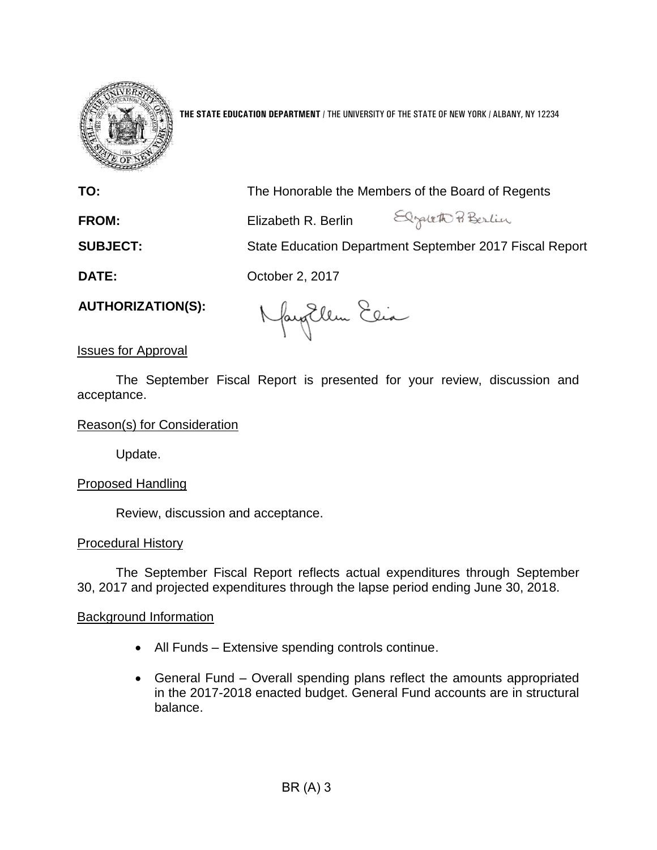

**THE STATE EDUCATION DEPARTMENT** / THE UNIVERSITY OF THE STATE OF NEW YORK / ALBANY, NY 12234

| TO:                      |                                                                                             | The Honorable the Members of the Board of Regents       |
|--------------------------|---------------------------------------------------------------------------------------------|---------------------------------------------------------|
| <b>FROM:</b>             | Elizabeth R. Berlin                                                                         | Elgalett Berlin                                         |
| <b>SUBJECT:</b>          |                                                                                             | State Education Department September 2017 Fiscal Report |
| <b>DATE:</b>             | October 2, 2017                                                                             |                                                         |
| <b>AUTHORIZATION(S):</b> | $\left( \begin{array}{cc} 0 & \searrow & \circ \\ 0 & \searrow & \circ \end{array} \right)$ |                                                         |

fantlem Elia

# Issues for Approval

The September Fiscal Report is presented for your review, discussion and acceptance.

## Reason(s) for Consideration

Update.

# Proposed Handling

Review, discussion and acceptance.

## Procedural History

The September Fiscal Report reflects actual expenditures through September 30, 2017 and projected expenditures through the lapse period ending June 30, 2018.

## Background Information

- All Funds Extensive spending controls continue.
- General Fund Overall spending plans reflect the amounts appropriated in the 2017-2018 enacted budget. General Fund accounts are in structural balance.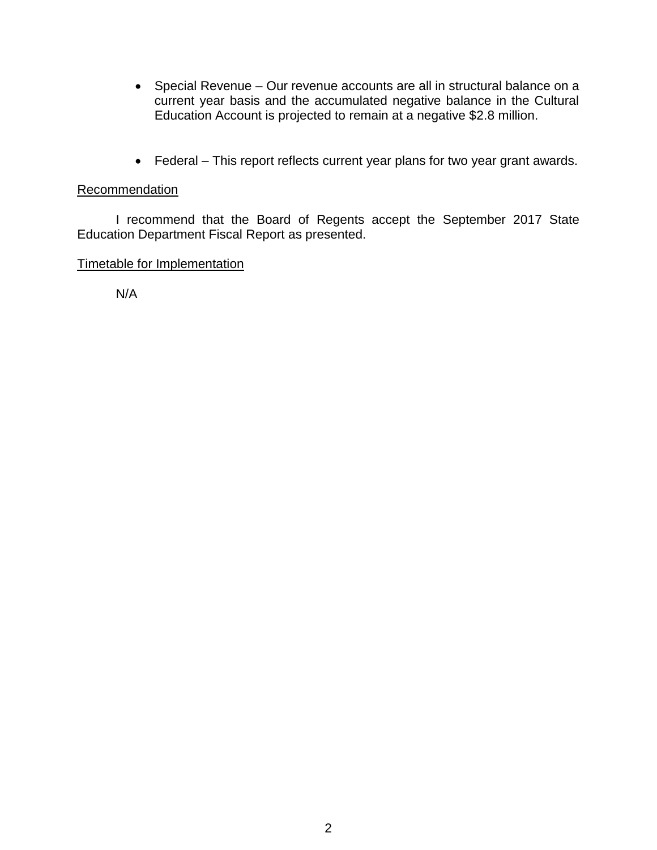- Special Revenue Our revenue accounts are all in structural balance on a current year basis and the accumulated negative balance in the Cultural Education Account is projected to remain at a negative \$2.8 million.
- Federal This report reflects current year plans for two year grant awards.

# Recommendation

I recommend that the Board of Regents accept the September 2017 State Education Department Fiscal Report as presented.

# Timetable for Implementation

N/A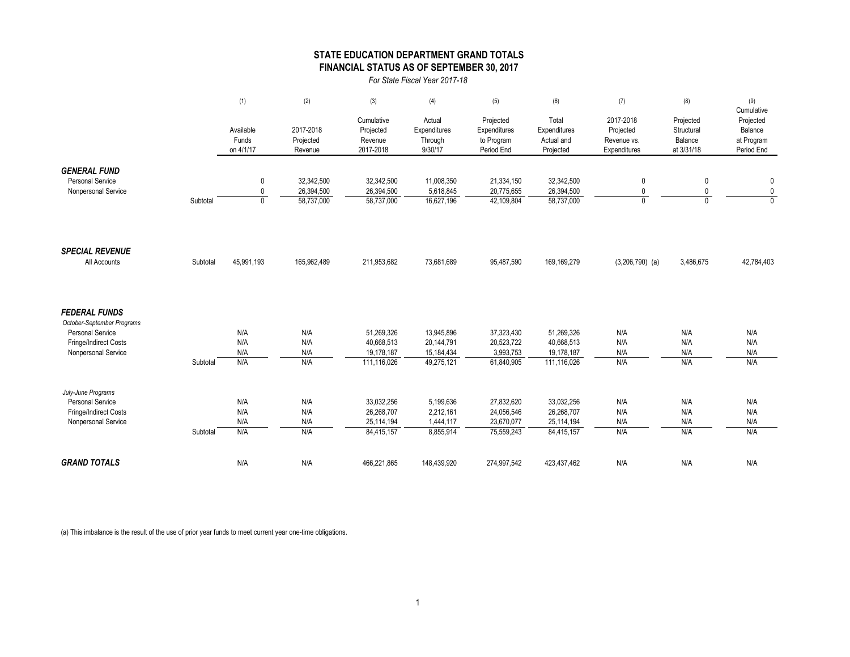### **STATE EDUCATION DEPARTMENT GRAND TOTALS FINANCIAL STATUS AS OF SEPTEMBER 30, 2017**

*For State Fiscal Year 2017-18*

|                                                                                                                               |          | (1)                               | (2)                                    | (3)                                                   | (4)                                                  | (5)                                                   | (6)                                                   | (7)                                                   | (8)                                              | (9)                                                            |
|-------------------------------------------------------------------------------------------------------------------------------|----------|-----------------------------------|----------------------------------------|-------------------------------------------------------|------------------------------------------------------|-------------------------------------------------------|-------------------------------------------------------|-------------------------------------------------------|--------------------------------------------------|----------------------------------------------------------------|
|                                                                                                                               |          | Available<br>Funds<br>on 4/1/17   | 2017-2018<br>Projected<br>Revenue      | Cumulative<br>Projected<br>Revenue<br>2017-2018       | Actual<br>Expenditures<br>Through<br>9/30/17         | Projected<br>Expenditures<br>to Program<br>Period End | Total<br>Expenditures<br>Actual and<br>Projected      | 2017-2018<br>Projected<br>Revenue vs.<br>Expenditures | Projected<br>Structural<br>Balance<br>at 3/31/18 | Cumulative<br>Projected<br>Balance<br>at Program<br>Period End |
| <b>GENERAL FUND</b><br>Personal Service<br>Nonpersonal Service                                                                | Subtotal | 0<br>$\mathbf{0}$<br>$\mathbf{0}$ | 32,342,500<br>26,394,500<br>58,737,000 | 32,342,500<br>26,394,500<br>58,737,000                | 11,008,350<br>5,618,845<br>16,627,196                | 21,334,150<br>20,775,655<br>42,109,804                | 32,342,500<br>26,394,500<br>58,737,000                | $\mathbf 0$<br>0<br>$\mathbf{0}$                      | 0<br>0<br>$\Omega$                               | 0<br>$\pmb{0}$<br>$\overline{0}$                               |
| <b>SPECIAL REVENUE</b><br>All Accounts                                                                                        | Subtotal | 45,991,193                        | 165,962,489                            | 211,953,682                                           | 73,681,689                                           | 95,487,590                                            | 169,169,279                                           | $(3,206,790)$ (a)                                     | 3,486,675                                        | 42,784,403                                                     |
| <b>FEDERAL FUNDS</b><br>October-September Programs<br><b>Personal Service</b><br>Fringe/Indirect Costs<br>Nonpersonal Service | Subtotal | N/A<br>N/A<br>N/A<br>N/A          | N/A<br>N/A<br>N/A<br>N/A               | 51.269.326<br>40,668,513<br>19,178,187<br>111,116,026 | 13,945,896<br>20,144,791<br>15,184,434<br>49,275,121 | 37.323.430<br>20,523,722<br>3,993,753<br>61,840,905   | 51,269,326<br>40,668,513<br>19,178,187<br>111,116,026 | N/A<br>N/A<br>N/A<br>N/A                              | N/A<br>N/A<br>N/A<br>N/A                         | N/A<br>N/A<br>N/A<br>N/A                                       |
| July-June Programs<br><b>Personal Service</b><br>Fringe/Indirect Costs<br>Nonpersonal Service                                 | Subtotal | N/A<br>N/A<br>N/A<br>N/A          | N/A<br>N/A<br>N/A<br>N/A               | 33,032,256<br>26,268,707<br>25,114,194<br>84,415,157  | 5,199,636<br>2,212,161<br>1,444,117<br>8,855,914     | 27,832,620<br>24,056,546<br>23,670,077<br>75,559,243  | 33,032,256<br>26,268,707<br>25,114,194<br>84,415,157  | N/A<br>N/A<br>N/A<br>N/A                              | N/A<br>N/A<br>N/A<br>N/A                         | N/A<br>N/A<br>N/A<br>N/A                                       |
| <b>GRAND TOTALS</b>                                                                                                           |          | N/A                               | N/A                                    | 466,221,865                                           | 148,439,920                                          | 274,997,542                                           | 423,437,462                                           | N/A                                                   | N/A                                              | N/A                                                            |

(a) This imbalance is the result of the use of prior year funds to meet current year one-time obligations.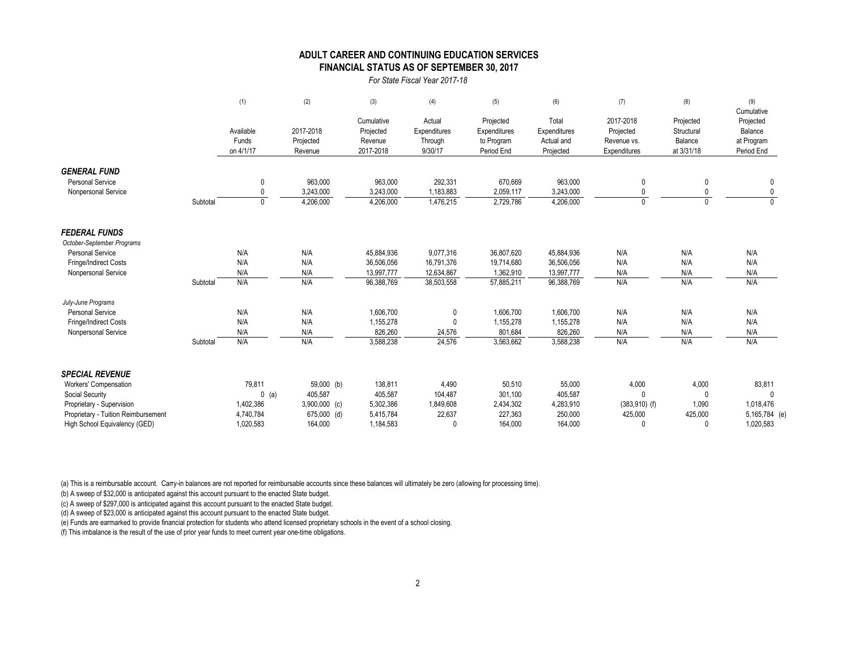#### **FINANCIAL STATUS AS OF SEPTEMBER 30, 2017 ADULT CAREER AND CONTINUING EDUCATION SERVICES**

#### *For State Fiscal Year 2017-18*

|                                     |          | (1)          | (2)             | (3)        | (4)          | (5)          | (6)          | (7)             | (8)        | (9)<br>Cumulative |
|-------------------------------------|----------|--------------|-----------------|------------|--------------|--------------|--------------|-----------------|------------|-------------------|
|                                     |          |              |                 | Cumulative | Actual       | Projected    | Total        | 2017-2018       | Projected  | Projected         |
|                                     |          | Available    | 2017-2018       | Projected  | Expenditures | Expenditures | Expenditures | Projected       | Structural | Balance           |
|                                     |          | Funds        | Projected       | Revenue    | Through      | to Program   | Actual and   | Revenue vs.     | Balance    | at Program        |
|                                     |          | on 4/1/17    | Revenue         | 2017-2018  | 9/30/17      | Period End   | Projected    | Expenditures    | at 3/31/18 | Period End        |
| <b>GENERAL FUND</b>                 |          |              |                 |            |              |              |              |                 |            |                   |
| <b>Personal Service</b>             |          | $\mathbf{0}$ | 963,000         | 963,000    | 292,331      | 670,669      | 963,000      | 0               | 0          | 0                 |
| Nonpersonal Service                 |          |              | 3,243,000       | 3,243,000  | 1,183,883    | 2,059,117    | 3,243,000    |                 |            |                   |
|                                     | Subtotal | $\mathbf 0$  | 4,206,000       | 4,206,000  | 1,476,215    | 2,729,786    | 4,206,000    | $\mathbf{0}$    | $\Omega$   | $\Omega$          |
| <b>FEDERAL FUNDS</b>                |          |              |                 |            |              |              |              |                 |            |                   |
| October-September Programs          |          |              |                 |            |              |              |              |                 |            |                   |
| <b>Personal Service</b>             |          | N/A          | N/A             | 45,884,936 | 9,077,316    | 36,807,620   | 45,884,936   | N/A             | N/A        | N/A               |
| Fringe/Indirect Costs               |          | N/A          | N/A             | 36,506,056 | 16,791,376   | 19,714,680   | 36,506,056   | N/A             | N/A        | N/A               |
| Nonpersonal Service                 |          | N/A          | N/A             | 13,997,777 | 12,634,867   | 1,362,910    | 13,997,777   | N/A             | N/A        | N/A               |
|                                     | Subtotal | N/A          | N/A             | 96,388,769 | 38,503,558   | 57,885,211   | 96,388,769   | N/A             | N/A        | N/A               |
| July-June Programs                  |          |              |                 |            |              |              |              |                 |            |                   |
| <b>Personal Service</b>             |          | N/A          | N/A             | 1,606,700  | 0            | 1,606,700    | 1,606,700    | N/A             | N/A        | N/A               |
| Fringe/Indirect Costs               |          | N/A          | N/A             | 1,155,278  | 0            | 1,155,278    | 1,155,278    | N/A             | N/A        | N/A               |
| Nonpersonal Service                 |          | N/A          | N/A             | 826,260    | 24,576       | 801,684      | 826,260      | N/A             | N/A        | N/A               |
|                                     | Subtotal | N/A          | N/A             | 3,588,238  | 24,576       | 3,563,662    | 3,588,238    | N/A             | N/A        | N/A               |
| <b>SPECIAL REVENUE</b>              |          |              |                 |            |              |              |              |                 |            |                   |
| Workers' Compensation               |          | 79,811       | 59,000 (b)      | 138,811    | 4,490        | 50,510       | 55,000       | 4,000           | 4,000      | 83,811            |
| Social Security                     |          | $0$ (a)      | 405,587         | 405,587    | 104,487      | 301,100      | 405,587      | $\Omega$        |            |                   |
| Proprietary - Supervision           |          | 1,402,386    | $3,900,000$ (c) | 5,302,386  | 1,849,608    | 2,434,302    | 4,283,910    | $(383,910)$ (f) | 1,090      | 1,018,476         |
| Proprietary - Tuition Reimbursement |          | 4,740,784    | 675,000 (d)     | 5,415,784  | 22,637       | 227,363      | 250,000      | 425,000         | 425,000    | 5,165,784 (e)     |
| High School Equivalency (GED)       |          | 1.020.583    | 164.000         | 1.184.583  | $\Omega$     | 164.000      | 164.000      |                 |            | 1,020,583         |

(a) This is a reimbursable account. Carry-in balances are not reported for reimbursable accounts since these balances will ultimately be zero (allowing for processing time).

(b) A sweep of \$32,000 is anticipated against this account pursuant to the enacted State budget.

(c) A sweep of \$297,000 is anticipated against this account pursuant to the enacted State budget.

(d) A sweep of \$23,000 is anticipated against this account pursuant to the enacted State budget.

(e) Funds are earmarked to provide financial protection for students who attend licensed proprietary schools in the event of a school closing.

(f) This imbalance is the result of the use of prior year funds to meet current year one-time obligations.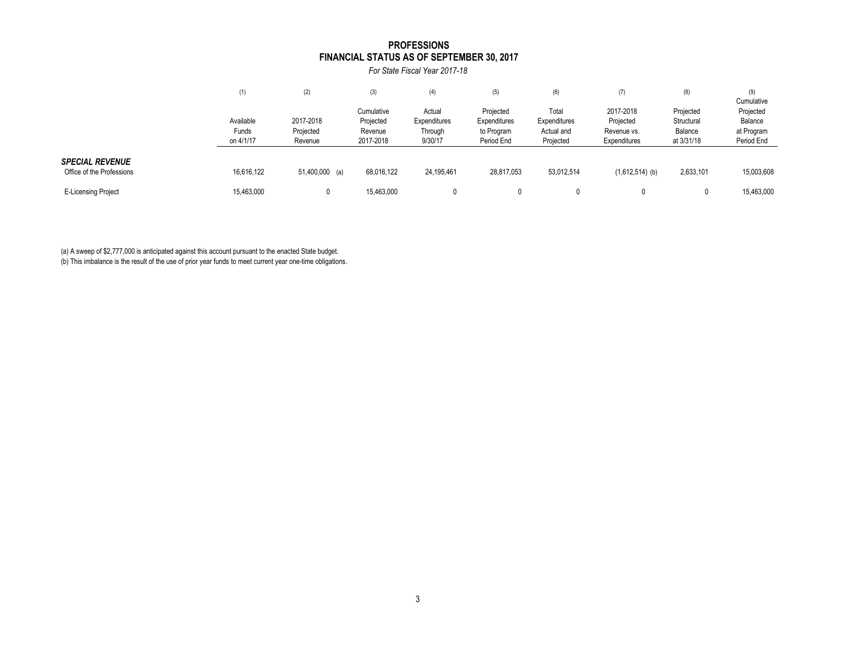#### **FINANCIAL STATUS AS OF SEPTEMBER 30, 2017 PROFESSIONS**

*For State Fiscal Year 2017-18*

|                                                     | (1)                | (2)                  | (3)                     | (4)                    | (5)                       | (6)                     | (7)                         | (8)                     | (9)<br>Cumulative        |
|-----------------------------------------------------|--------------------|----------------------|-------------------------|------------------------|---------------------------|-------------------------|-----------------------------|-------------------------|--------------------------|
|                                                     | Available          | 2017-2018            | Cumulative<br>Projected | Actual<br>Expenditures | Projected<br>Expenditures | Total<br>Expenditures   | 2017-2018<br>Projected      | Projected<br>Structural | Projected<br>Balance     |
|                                                     | Funds<br>on 4/1/17 | Projected<br>Revenue | Revenue<br>2017-2018    | Through<br>9/30/17     | to Program<br>Period End  | Actual and<br>Projected | Revenue vs.<br>Expenditures | Balance<br>at 3/31/18   | at Program<br>Period End |
| <b>SPECIAL REVENUE</b><br>Office of the Professions | 16,616,122         | 51,400,000 (a)       | 68,016,122              | 24,195,461             | 28,817,053                | 53,012,514              | $(1,612,514)$ (b)           | 2,633,101               | 15,003,608               |
| <b>E-Licensing Project</b>                          | 15,463,000         |                      | 15,463,000              |                        |                           |                         |                             | 0                       | 15,463,000               |

(a) A sweep of \$2,777,000 is anticipated against this account pursuant to the enacted State budget.

(b) This imbalance is the result of the use of prior year funds to meet current year one-time obligations.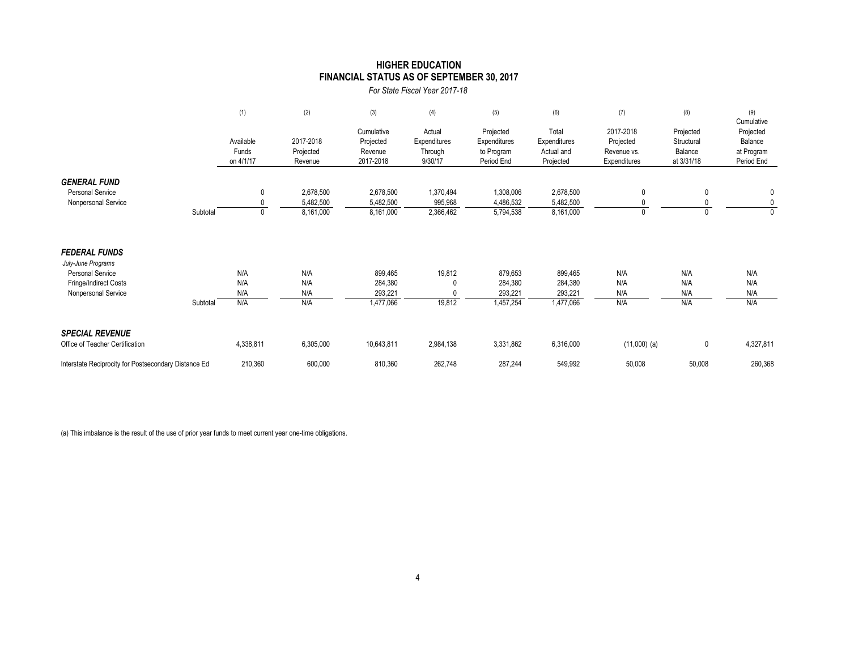### **HIGHER EDUCATION FINANCIAL STATUS AS OF SEPTEMBER 30, 2017**

*For State Fiscal Year 2017-18*

|                                                                                                                                   | (1)                             | (2)                                 | (3)                                             | (4)                                          | (5)                                                   | (6)                                              | (7)                                                   | (8)                                              | (9)<br>Cumulative                                |
|-----------------------------------------------------------------------------------------------------------------------------------|---------------------------------|-------------------------------------|-------------------------------------------------|----------------------------------------------|-------------------------------------------------------|--------------------------------------------------|-------------------------------------------------------|--------------------------------------------------|--------------------------------------------------|
|                                                                                                                                   | Available<br>Funds<br>on 4/1/17 | 2017-2018<br>Projected<br>Revenue   | Cumulative<br>Projected<br>Revenue<br>2017-2018 | Actual<br>Expenditures<br>Through<br>9/30/17 | Projected<br>Expenditures<br>to Program<br>Period End | Total<br>Expenditures<br>Actual and<br>Projected | 2017-2018<br>Projected<br>Revenue vs.<br>Expenditures | Projected<br>Structural<br>Balance<br>at 3/31/18 | Projected<br>Balance<br>at Program<br>Period End |
| <b>GENERAL FUND</b><br><b>Personal Service</b><br>Nonpersonal Service<br>Subtotal                                                 |                                 | 2,678,500<br>5,482,500<br>8,161,000 | 2,678,500<br>5,482,500<br>8,161,000             | 1,370,494<br>995,968<br>2,366,462            | 1,308,006<br>4,486,532<br>5,794,538                   | 2,678,500<br>5,482,500<br>8,161,000              | $\mathbf{0}$<br>0                                     | 0<br>0                                           | 0<br>0<br>$\mathbf{0}$                           |
| <b>FEDERAL FUNDS</b><br>July-June Programs<br><b>Personal Service</b><br>Fringe/Indirect Costs<br>Nonpersonal Service<br>Subtotal | N/A<br>N/A<br>N/A<br>N/A        | N/A<br>N/A<br>N/A<br>N/A            | 899,465<br>284,380<br>293,221<br>1,477,066      | 19,812<br>19,812                             | 879,653<br>284,380<br>293,221<br>1,457,254            | 899,465<br>284,380<br>293,221<br>1,477,066       | N/A<br>N/A<br>N/A<br>N/A                              | N/A<br>N/A<br>N/A<br>N/A                         | N/A<br>N/A<br>N/A<br>N/A                         |
| <b>SPECIAL REVENUE</b><br>Office of Teacher Certification<br>Interstate Reciprocity for Postsecondary Distance Ed                 | 4,338,811<br>210,360            | 6,305,000<br>600,000                | 10,643,811<br>810,360                           | 2,984,138<br>262,748                         | 3,331,862<br>287,244                                  | 6,316,000<br>549,992                             | $(11,000)$ (a)<br>50,008                              | $\mathbf 0$<br>50,008                            | 4,327,811<br>260,368                             |

(a) This imbalance is the result of the use of prior year funds to meet current year one-time obligations.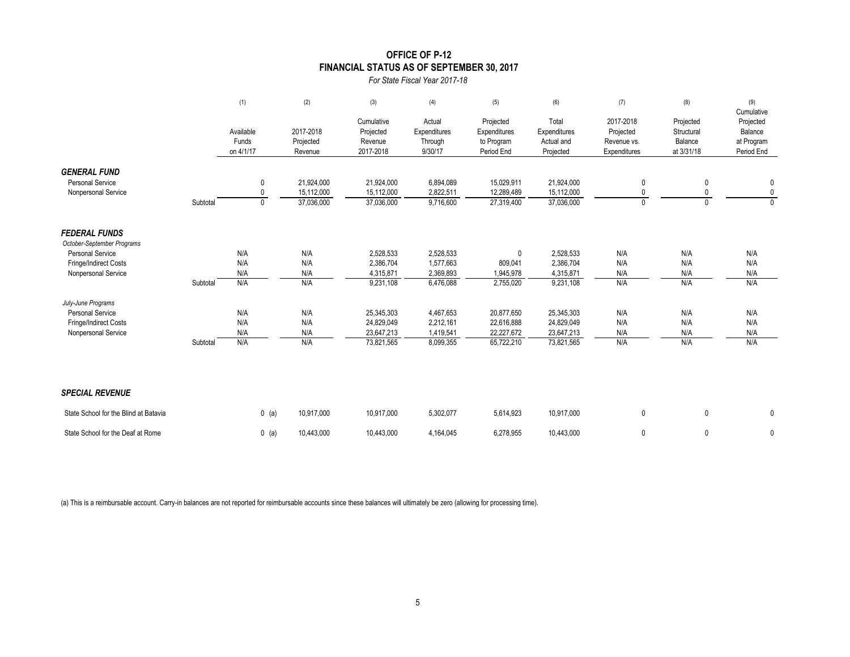### **OFFICE OF P-12 FINANCIAL STATUS AS OF SEPTEMBER 30, 2017**

*For State Fiscal Year 2017-18*

|                                                                       |          | (1)                             | (2)                                    | (3)                                             | (4)                                          | (5)                                                   | (6)                                              | (7)                                                   | (8)                                              | (9)<br>Cumulative                                |
|-----------------------------------------------------------------------|----------|---------------------------------|----------------------------------------|-------------------------------------------------|----------------------------------------------|-------------------------------------------------------|--------------------------------------------------|-------------------------------------------------------|--------------------------------------------------|--------------------------------------------------|
|                                                                       |          | Available<br>Funds<br>on 4/1/17 | 2017-2018<br>Projected<br>Revenue      | Cumulative<br>Projected<br>Revenue<br>2017-2018 | Actual<br>Expenditures<br>Through<br>9/30/17 | Projected<br>Expenditures<br>to Program<br>Period End | Total<br>Expenditures<br>Actual and<br>Projected | 2017-2018<br>Projected<br>Revenue vs.<br>Expenditures | Projected<br>Structural<br>Balance<br>at 3/31/18 | Projected<br>Balance<br>at Program<br>Period End |
| <b>GENERAL FUND</b><br><b>Personal Service</b><br>Nonpersonal Service | Subtotal | 0<br>0<br>0                     | 21,924,000<br>15,112,000<br>37,036,000 | 21,924,000<br>15,112,000<br>37,036,000          | 6,894,089<br>2,822,511<br>9,716,600          | 15,029,911<br>12,289,489<br>27,319,400                | 21,924,000<br>15,112,000<br>37,036,000           | 0<br>0<br>$\mathbf{0}$                                | 0<br>0<br>$\mathbf{0}$                           | 0<br>$\mathbf 0$<br>$\mathbf{0}$                 |
| <b>FEDERAL FUNDS</b><br>October-September Programs                    |          |                                 |                                        |                                                 |                                              |                                                       |                                                  |                                                       |                                                  |                                                  |
| <b>Personal Service</b>                                               |          | N/A                             | N/A                                    | 2,528,533                                       | 2,528,533                                    | $\mathbf{0}$                                          | 2,528,533                                        | N/A                                                   | N/A                                              | N/A                                              |
| Fringe/Indirect Costs                                                 |          | N/A                             | N/A                                    | 2,386,704                                       | 1,577,663                                    | 809,041                                               | 2,386,704                                        | N/A                                                   | N/A                                              | N/A                                              |
| Nonpersonal Service                                                   |          | N/A                             | N/A                                    | 4,315,871                                       | 2,369,893                                    | 1,945,978                                             | 4,315,871                                        | N/A                                                   | N/A                                              | N/A                                              |
|                                                                       | Subtotal | N/A                             | N/A                                    | 9,231,108                                       | 6,476,088                                    | 2,755,020                                             | 9,231,108                                        | N/A                                                   | N/A                                              | N/A                                              |
| July-June Programs                                                    |          |                                 |                                        |                                                 |                                              |                                                       |                                                  |                                                       |                                                  |                                                  |
| <b>Personal Service</b>                                               |          | N/A                             | N/A                                    | 25,345,303                                      | 4,467,653                                    | 20,877,650                                            | 25,345,303                                       | N/A                                                   | N/A                                              | N/A                                              |
| Fringe/Indirect Costs                                                 |          | N/A                             | N/A                                    | 24,829,049                                      | 2,212,161                                    | 22,616,888                                            | 24,829,049                                       | N/A                                                   | N/A                                              | N/A                                              |
| Nonpersonal Service                                                   |          | N/A                             | N/A                                    | 23,647,213                                      | 1,419,541                                    | 22,227,672                                            | 23,647,213                                       | N/A                                                   | N/A                                              | N/A                                              |
|                                                                       | Subtotal | N/A                             | N/A                                    | 73,821,565                                      | 8,099,355                                    | 65,722,210                                            | 73,821,565                                       | N/A                                                   | N/A                                              | N/A                                              |
| <b>SPECIAL REVENUE</b>                                                |          |                                 |                                        |                                                 |                                              |                                                       |                                                  |                                                       |                                                  |                                                  |
| State School for the Blind at Batavia                                 |          | $0$ (a)                         | 10,917,000                             | 10,917,000                                      | 5,302,077                                    | 5,614,923                                             | 10,917,000                                       | 0                                                     | 0                                                | 0                                                |
| State School for the Deaf at Rome                                     |          | $0$ (a)                         | 10,443,000                             | 10.443.000                                      | 4,164,045                                    | 6,278,955                                             | 10.443.000                                       | 0                                                     | 0                                                | 0                                                |

(a) This is a reimbursable account. Carry-in balances are not reported for reimbursable accounts since these balances will ultimately be zero (allowing for processing time).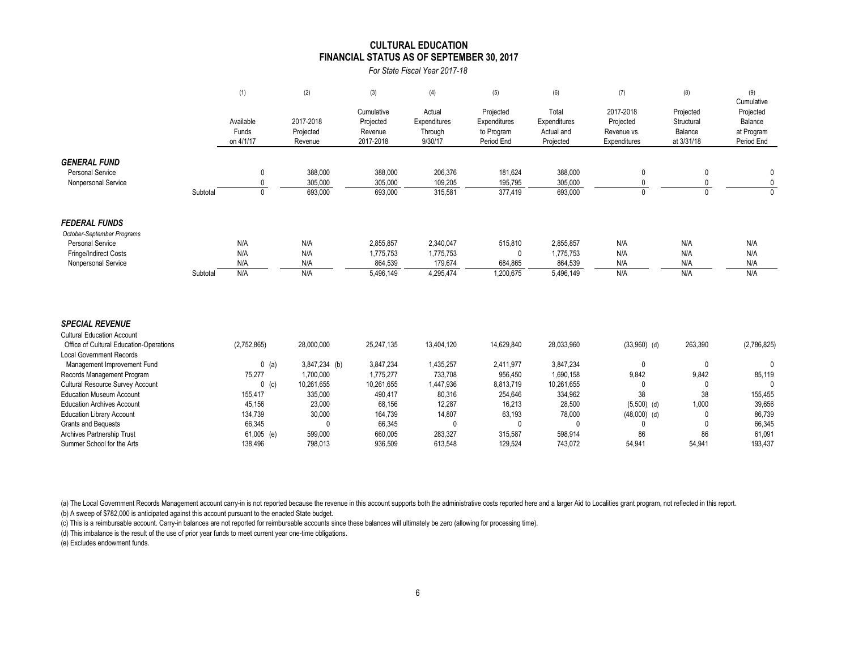#### **FINANCIAL STATUS AS OF SEPTEMBER 30, 2017 CULTURAL EDUCATION**

*For State Fiscal Year 2017-18*

|                                                                                                                               |          | (1)                             | (2)                                | (3)                                             | (4)                                            | (5)                                                   | (6)                                              | (7)                                                   | (8)                                              | (9)<br>Cumulative                                |
|-------------------------------------------------------------------------------------------------------------------------------|----------|---------------------------------|------------------------------------|-------------------------------------------------|------------------------------------------------|-------------------------------------------------------|--------------------------------------------------|-------------------------------------------------------|--------------------------------------------------|--------------------------------------------------|
|                                                                                                                               |          | Available<br>Funds<br>on 4/1/17 | 2017-2018<br>Projected<br>Revenue  | Cumulative<br>Projected<br>Revenue<br>2017-2018 | Actual<br>Expenditures<br>Through<br>9/30/17   | Projected<br>Expenditures<br>to Program<br>Period End | Total<br>Expenditures<br>Actual and<br>Projected | 2017-2018<br>Projected<br>Revenue vs.<br>Expenditures | Projected<br>Structural<br>Balance<br>at 3/31/18 | Projected<br>Balance<br>at Program<br>Period End |
| <b>GENERAL FUND</b><br><b>Personal Service</b><br>Nonpersonal Service                                                         | Subtotal | 0<br>0<br>$\mathbf{0}$          | 388,000<br>305,000<br>693,000      | 388,000<br>305,000<br>693,000                   | 206,376<br>109,205<br>315,581                  | 181,624<br>195,795<br>$\overline{377,}419$            | 388,000<br>305,000<br>693,000                    | $\mathbf{0}$<br>$\mathbf{0}$<br>$\Omega$              | 0<br>$\Omega$                                    | 0<br>0<br>$\Omega$                               |
| <b>FEDERAL FUNDS</b><br>October-September Programs<br><b>Personal Service</b><br>Fringe/Indirect Costs<br>Nonpersonal Service | Subtotal | N/A<br>N/A<br>N/A<br>N/A        | N/A<br>N/A<br>N/A<br>N/A           | 2,855,857<br>1,775,753<br>864,539<br>5,496,149  | 2,340,047<br>1,775,753<br>179,674<br>4,295,474 | 515,810<br>684,865<br>1,200,675                       | 2,855,857<br>1,775,753<br>864,539<br>5,496,149   | N/A<br>N/A<br>N/A<br>N/A                              | N/A<br>N/A<br>N/A<br>N/A                         | N/A<br>N/A<br>N/A<br>N/A                         |
| <b>SPECIAL REVENUE</b><br><b>Cultural Education Account</b><br>Office of Cultural Education-Operations                        |          | (2,752,865)                     | 28,000,000                         | 25,247,135                                      | 13,404,120                                     | 14,629,840                                            | 28,033,960                                       | $(33,960)$ (d)                                        | 263,390                                          | (2,786,825)                                      |
| <b>Local Government Records</b><br>Management Improvement Fund                                                                |          | $0$ (a)                         | 3,847,234 (b)                      | 3,847,234                                       | 1,435,257                                      | 2,411,977                                             | 3,847,234                                        | 0                                                     | $\mathbf{0}$                                     | $\Omega$                                         |
| Records Management Program<br><b>Cultural Resource Survey Account</b><br><b>Education Museum Account</b>                      |          | 75,277<br>$0$ (c)<br>155,417    | 1,700,000<br>10,261,655<br>335,000 | 1,775,277<br>10,261,655<br>490,417              | 733,708<br>1,447,936<br>80,316                 | 956,450<br>8,813,719<br>254,646                       | 1,690,158<br>10,261,655<br>334,962               | 9,842<br>$\mathbf{0}$<br>38                           | 9,842<br>$\Omega$<br>38                          | 85,119<br>$\Omega$<br>155,455                    |
| <b>Education Archives Account</b><br><b>Education Library Account</b><br>Grants and Bequests                                  |          | 45,156<br>134,739<br>66,345     | 23,000<br>30,000                   | 68,156<br>164,739<br>66,345                     | 12,287<br>14,807<br>$\Omega$                   | 16,213<br>63,193                                      | 28,500<br>78,000                                 | $(5,500)$ (d)<br>$(48,000)$ (d)<br>0                  | 1,000                                            | 39,656<br>86,739<br>66,345                       |
| Archives Partnership Trust                                                                                                    |          | 61,005 (e)                      | 599,000                            | 660,005                                         | 283,327                                        | 315,587                                               | 598,914                                          | 86                                                    | 86                                               | 61,091                                           |

(a) The Local Government Records Management account carry-in is not reported because the revenue in this account supports both the administrative costs reported here and a larger Aid to Localities grant program, not reflec

(b) A sweep of \$782,000 is anticipated against this account pursuant to the enacted State budget.

(c) This is a reimbursable account. Carry-in balances are not reported for reimbursable accounts since these balances will ultimately be zero (allowing for processing time).

(d) This imbalance is the result of the use of prior year funds to meet current year one-time obligations.

(e) Excludes endowment funds.

Summer School for the Arts 138,496 138,496 798,013 936,509 613,548 129,524 743,072 54,941 54,941 54,941 193,437